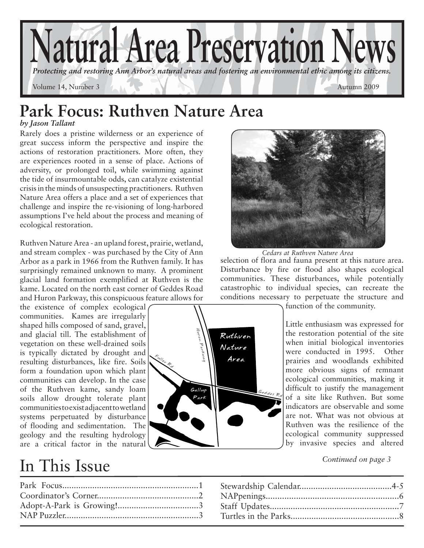

### **Park Focus: Ruthven Nature Area** *by Jason Tallant*

Rarely does a pristine wilderness or an experience of great success inform the perspective and inspire the actions of restoration practitioners. More often, they are experiences rooted in a sense of place. Actions of adversity, or prolonged toil, while swimming against the tide of insurmountable odds, can catalyze existential crisis in the minds of unsuspecting practitioners. Ruthven Nature Area offers a place and a set of experiences that challenge and inspire the re-visioning of long-harbored assumptions I've held about the process and meaning of ecological restoration.

Ruthven Nature Area - an upland forest, prairie, wetland, and stream complex - was purchased by the City of Ann Arbor as a park in 1966 from the Ruthven family. It has surprisingly remained unknown to many. A prominent glacial land formation exemplified at Ruthven is the kame. Located on the north east corner of Geddes Road and Huron Parkway, this conspicuous feature allows for

the existence of complex ecological communities. Kames are irregularly shaped hills composed of sand, gravel, and glacial till. The establishment of vegetation on these well-drained soils is typically dictated by drought and resulting disturbances, like fire. Soils form a foundation upon which plant communities can develop. In the case of the Ruthven kame, sandy loam soils allow drought tolerate plant communities to exist adjacent to wetland systems perpetuated by disturbance of flooding and sedimentation. The geology and the resulting hydrology are a critical factor in the natural

# In This Issue



*Cedars at Ruthven Nature Area*

selection of flora and fauna present at this nature area. Disturbance by fire or flood also shapes ecological communities. These disturbances, while potentially catastrophic to individual species, can recreate the conditions necessary to perpetuate the structure and



function of the community.

Little enthusiasm was expressed for the restoration potential of the site when initial biological inventories were conducted in 1995. Other prairies and woodlands exhibited more obvious signs of remnant ecological communities, making it difficult to justify the management of a site like Ruthven. But some indicators are observable and some are not. What was not obvious at Ruthven was the resilience of the ecological community suppressed by invasive species and altered

*Continued on page 3*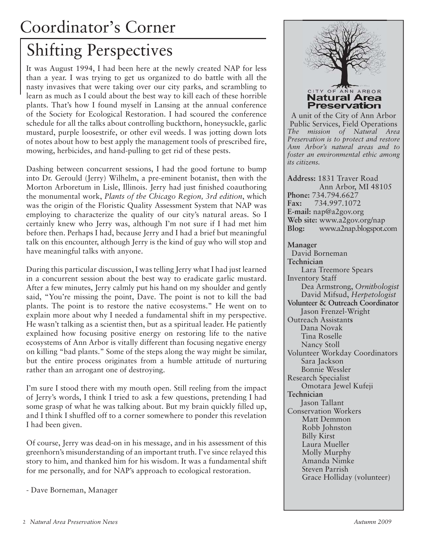# Coordinator's Corner

# Shifting Perspectives

It was August 1994, I had been here at the newly created NAP for less than a year. I was trying to get us organized to do battle with all the nasty invasives that were taking over our city parks, and scrambling to learn as much as I could about the best way to kill each of these horrible plants. That's how I found myself in Lansing at the annual conference of the Society for Ecological Restoration. I had scoured the conference schedule for all the talks about controlling buckthorn, honeysuckle, garlic mustard, purple loosestrife, or other evil weeds. I was jotting down lots of notes about how to best apply the management tools of prescribed fire, mowing, herbicides, and hand-pulling to get rid of these pests.

Dashing between concurrent sessions, I had the good fortune to bump into Dr. Gerould (Jerry) Wilhelm, a pre-eminent botanist, then with the Morton Arboretum in Lisle, Illinois. Jerry had just finished coauthoring the monumental work, *Plants of the Chicago Region, 3rd edition*, which was the origin of the Floristic Quality Assessment System that NAP was employing to characterize the quality of our city's natural areas. So I certainly knew who Jerry was, although I'm not sure if I had met him before then. Perhaps I had, because Jerry and I had a brief but meaningful talk on this encounter, although Jerry is the kind of guy who will stop and have meaningful talks with anyone.

During this particular discussion, I was telling Jerry what I had just learned in a concurrent session about the best way to eradicate garlic mustard. After a few minutes, Jerry calmly put his hand on my shoulder and gently said, "You're missing the point, Dave. The point is not to kill the bad plants. The point is to restore the native ecosystems." He went on to explain more about why I needed a fundamental shift in my perspective. He wasn't talking as a scientist then, but as a spiritual leader. He patiently explained how focusing positive energy on restoring life to the native ecosystems of Ann Arbor is vitally different than focusing negative energy on killing "bad plants." Some of the steps along the way might be similar, but the entire process originates from a humble attitude of nurturing rather than an arrogant one of destroying.

I'm sure I stood there with my mouth open. Still reeling from the impact of Jerry's words, I think I tried to ask a few questions, pretending I had some grasp of what he was talking about. But my brain quickly filled up, and I think I shuffled off to a corner somewhere to ponder this revelation I had been given.

Of course, Jerry was dead-on in his message, and in his assessment of this greenhorn's misunderstanding of an important truth. I've since relayed this story to him, and thanked him for his wisdom. It was a fundamental shift for me personally, and for NAP's approach to ecological restoration.

- Dave Borneman, Manager

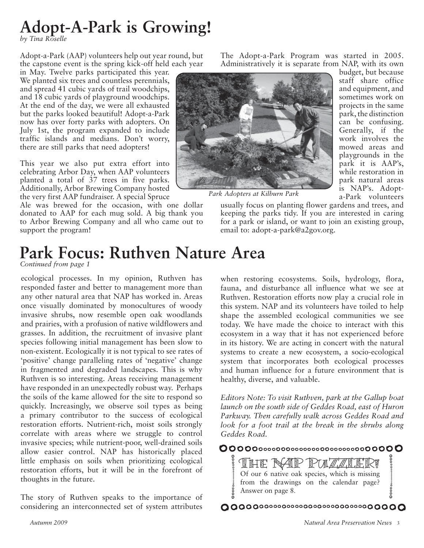# **Adopt-A-Park is Growing!**

*by Tina Roselle*

Adopt-a-Park (AAP) volunteers help out year round, but the capstone event is the spring kick-off held each year

in May. Twelve parks participated this year. We planted six trees and countless perennials, and spread 41 cubic yards of trail woodchips, and 18 cubic yards of playground woodchips. At the end of the day, we were all exhausted but the parks looked beautiful! Adopt-a-Park now has over forty parks with adopters. On July 1st, the program expanded to include traffic islands and medians. Don't worry, there are still parks that need adopters!

This year we also put extra effort into celebrating Arbor Day, when AAP volunteers planted a total of 37 trees in five parks. Additionally, Arbor Brewing Company hosted the very first AAP fundraiser. A special Spruce

Ale was brewed for the occasion, with one dollar donated to AAP for each mug sold. A big thank you to Arbor Brewing Company and all who came out to support the program!

The Adopt-a-Park Program was started in 2005. Administratively it is separate from NAP, with its own budget, but because

> staff share office and equipment, and sometimes work on projects in the same park, the distinction can be confusing. Generally, if the work involves the mowed areas and



*Park Adopters at Kilburn Park*

email to: adopt-a-park@a2gov.org.

playgrounds in the park it is AAP's, while restoration in park natural areas is NAP's. Adopta-Park volunteers usually focus on planting flower gardens and trees, and keeping the parks tidy. If you are interested in caring for a park or island, or want to join an existing group,

# **Park Focus: Ruthven Nature Area**

*Continued from page 1*

ecological processes. In my opinion, Ruthven has responded faster and better to management more than any other natural area that NAP has worked in. Areas once visually dominated by monocultures of woody invasive shrubs, now resemble open oak woodlands and prairies, with a profusion of native wildflowers and grasses. In addition, the recruitment of invasive plant species following initial management has been slow to non-existent. Ecologically it is not typical to see rates of 'positive' change paralleling rates of 'negative' change in fragmented and degraded landscapes. This is why Ruthven is so interesting. Areas receiving management have responded in an unexpectedly robust way. Perhaps the soils of the kame allowed for the site to respond so quickly. Increasingly, we observe soil types as being a primary contributor to the success of ecological restoration efforts. Nutrient-rich, moist soils strongly correlate with areas where we struggle to control invasive species; while nutrient-poor, well-drained soils allow easier control. NAP has historically placed little emphasis on soils when prioritizing ecological restoration efforts, but it will be in the forefront of thoughts in the future.

The story of Ruthven speaks to the importance of considering an interconnected set of system attributes when restoring ecosystems. Soils, hydrology, flora, fauna, and disturbance all influence what we see at Ruthven. Restoration efforts now play a crucial role in this system. NAP and its volunteers have toiled to help shape the assembled ecological communities we see today. We have made the choice to interact with this ecosystem in a way that it has not experienced before in its history. We are acting in concert with the natural systems to create a new ecosystem, a socio-ecological system that incorporates both ecological processes and human influence for a future environment that is healthy, diverse, and valuable.

Parkway. Then carefully walk across Geddes Road and look for a foot trail at the break in the shrubs along<br>Geddes Road.<br>**OOOOO**O0000000000000000000000000000 *Editors Note: To visit Ruthven, park at the Gallup boat launch on the south side of Geddes Road, east of Huron look for a foot trail at the break in the shrubs along Geddes Road.*

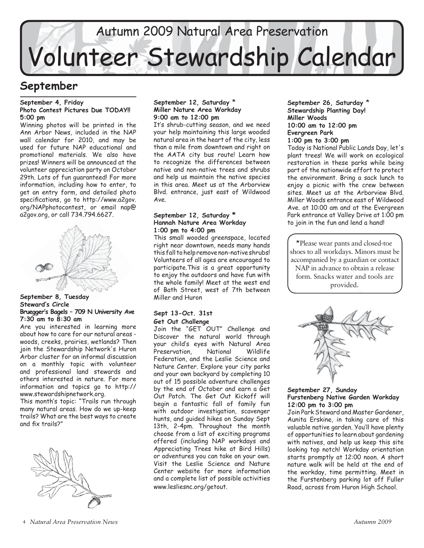# Autumn 2009 Natural Area Preservation Volunteer Stewardship Calendar

### **September**

#### **September 4, Friday Photo Contest Pictures Due TODAY!! 5:00 pm**

Winning photos will be printed in the Ann Arbor News, included in the NAP wall calendar for 2010, and may be used for future NAP educational and promotional materials. We also have prizes! Winners will be announced at the volunteer appreciation party on October 29th. Lots of fun guaranteed! For more information, including how to enter, to get an entry form, and detailed photo specifications, go to http://www.a2gov. org/NAPphotocontest, or email nap@ a2gov.org, or call 734.794.6627.



### **September 8, Tuesday Steward's Circle Bruegger's Bagels – 709 N University Ave 7:30 am to 8:30 am**

Are you interested in learning more about how to care for our natural areas woods, creeks, prairies, wetlands? Then join the Stewardship Network's Huron Arbor cluster for an informal discussion on a monthly topic with volunteer and professional land stewards and others interested in nature. For more information and topics go to http:// www.stewardshipnetwork.org.

This month's topic: "Trails run through many natural areas. How do we up-keep trails? What are the best ways to create and fix trails?"



### **September 12, Saturday** \* **Miller Nature Area Workday 9:00 am to 12:00 pm**

It's shrub-cutting season, and we need your help maintaining this large wooded natural area in the heart of the city, less than a mile from downtown and right on the AATA city bus route! Learn how to recognize the differences between native and non-native trees and shrubs and help us maintain the native species in this area. Meet us at the Arborview Blvd. entrance, just east of Wildwood Ave.

### **September 12, Saturday \* Hannah Nature Area Workday 1:00 pm to 4:00 pm**

This small wooded greenspace, located right near downtown, needs many hands this fall to help remove non-native shrubs! Volunteers of all ages are encouraged to participate.This is a great opportunity to enjoy the outdoors and have fun with the whole family! Meet at the west end of Bath Street, west of 7th between Miller and Huron

### **Sept 13-Oct. 31st Get Out Challenge**

Join the "GET OUT" Challenge and Discover the natural world through your child's eyes with Natural Area Preservation, National Wildlife Federation, and the Leslie Science and Nature Center. Explore your city parks and your own backyard by completing 10 out of 15 possible adventure challenges by the end of October and earn a Get Out Patch. The Get Out Kickoff will begin a fantastic fall of family fun with outdoor investigation, scavenger hunts, and guided hikes on Sunday Sept 13th, 2-4pm. Throughout the month choose from a list of exciting programs offered (including NAP workdays and Appreciating Trees hike at Bird Hills) or adventures you can take on your own. Visit the Leslie Science and Nature Center website for more information and a complete list of possible activities www.lesliesnc.org/getout.

**September 26, Saturday** \* **Stewardship Planting Day! Miller Woods 10:00 am to 12:00 pm Evergreen Park 1:00 pm to 3:00 pm**

Today is National Public Lands Day, let's plant trees! We will work on ecological restoration in these parks while being part of the nationwide effort to protect the environment. Bring a sack lunch to enjoy a picnic with the crew between sites. Meet us at the Arborview Blvd. Miller Woods entrance east of Wildwood Ave. at 10:00 am and at the Evergreen Park entrance at Valley Drive at 1:00 pm to join in the fun and lend a hand!

\*Please wear pants and closed-toe shoes to all workdays. Minors must be accompanied by a guardian or contact NAP in advance to obtain a release form. Snacks water and tools are provided.



### **September 27, Sunday Furstenberg Native Garden Workday 12:00 pm to 3:00 pm**

Join Park Steward and Master Gardener, Aunita Erskine, in taking care of this valuable native garden. You'll have plenty of opportunities to learn about gardening with natives, and help us keep this site looking top notch! Workday orientation starts promptly at 12:00 noon. A short nature walk will be held at the end of the workday, time permitting. Meet in the Furstenberg parking lot off Fuller Road, across from Huron High School.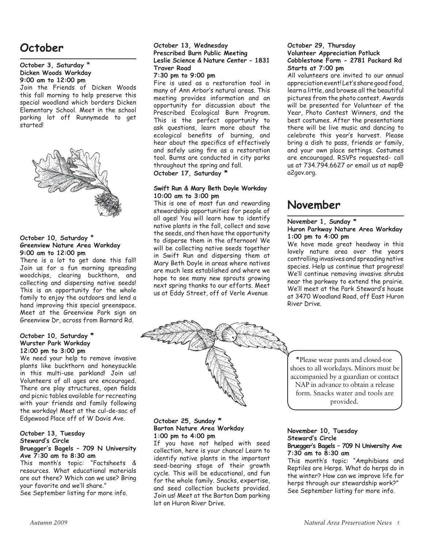### **October**

### **October 3, Saturday** \* **Dicken Woods Workday 9:00 am to 12:00 pm**

Join the Friends of Dicken Woods this fall morning to help preserve this special woodland which borders Dicken Elementary School. Meet in the school parking lot off Runnymede to get started!



### **October 10, Saturday** \* **Greenview Nature Area Workday 9:00 am to 12:00 pm**

There is a lot to get done this fall! Join us for a fun morning spreading woodchips, clearing buckthorn, and collecting and dispersing native seeds! This is an opportunity for the whole family to enjoy the outdoors and lend a hand improving this special greenspace. Meet at the Greenview Park sign on Greenview Dr, across from Barnard Rd.

#### **October 10, Saturday \* Wurster Park Workday 12:00 pm to 3:00 pm**

We need your help to remove invasive plants like buckthorn and honeysuckle in this multi-use parkland! Join us! Volunteers of all ages are encouraged. There are play structures, open fields and picnic tables available for recreating with your friends and family following the workday! Meet at the cul-de-sac of Edgewood Place off of W Davis Ave.

### **October 13, Tuesday Steward's Circle**

### **Bruegger's Bagels – 709 N University Ave 7:30 am to 8:30 am**

This month's topic: "Factsheets & resources. What educational materials are out there? Which can we use? Bring your favorite and we'll share." See September listing for more info.

### **October 13, Wednesday Prescribed Burn Public Meeting Leslie Science & Nature Center - 1831 Traver Road**

### **7:30 pm to 9:00 pm**

Fire is used as a restoration tool in many of Ann Arbor's natural areas. This meeting provides information and an opportunity for discussion about the Prescribed Ecological Burn Program. This is the perfect opportunity to ask questions, learn more about the ecological benefits of burning, and hear about the specifics of effectively and safely using fire as a restoration tool. Burns are conducted in city parks throughout the spring and fall.

### **October 17, Saturday \***

### **Swift Run & Mary Beth Doyle Workday 10:00 am to 3:00 pm**

This is one of most fun and rewarding stewardship opportunities for people of all ages! You will learn how to identify native plants in the fall, collect and save the seeds, and then have the opportunity to disperse them in the afternoon! We will be collecting native seeds together in Swift Run and dispersing them at Mary Beth Doyle in areas where natives are much less established and where we hope to see many new sprouts growing next spring thanks to our efforts. Meet us at Eddy Street, off of Verle Avenue

### **October 29, Thursday Volunteer Appreciation Potluck Cobblestone Farm - 2781 Packard Rd Starts at 7:00 pm**

All volunteers are invited to our annual appreciation event! Let's share good food, learn a little, and browse all the beautiful pictures from the photo contest. Awards will be presented for Volunteer of the Year, Photo Contest Winners, and the best costumes. After the presentations there will be live music and dancing to celebrate this year's harvest. Please bring a dish to pass, friends or family, and your own place settings. Costumes are encouraged. RSVPs requested- call us at 734.794.6627 or email us at nap@ a2gov.org.

### **November**

### **November 1, Sunday \***

### **Huron Parkway Nature Area Workday 1:00 pm to 4:00 pm**

We have made great headway in this lovely nature area over the years controlling invasives and spreading native species. Help us continue that progress! We'll continue removing invasive shrubs near the parkway to extend the prairie. We'll meet at the Park Steward's house at 3470 Woodland Road, off East Huron River Drive.



### **October 25, Sunday \* Barton Nature Area Workday 1:00 pm to 4:00 pm**

If you have not helped with seed collection, here is your chance! Learn to identify native plants in the important seed-bearing stage of their growth cycle. This will be educational, and fun for the whole family. Snacks, expertise, and seed collection buckets provided. Join us! Meet at the Barton Dam parking lot on Huron River Drive.

\*Please wear pants and closed-toe shoes to all workdays. Minors must be accompanied by a guardian or contact NAP in advance to obtain a release form. Snacks water and tools are provided.

### **November 10, Tuesday Steward's Circle Bruegger's Bagels – 709 N University Ave 7:30 am to 8:30 am**

This month's topic: "Amphibians and Reptiles are Herps. What do herps do in the winter? How can we improve life for herps through our stewardship work?" See September listing for more info.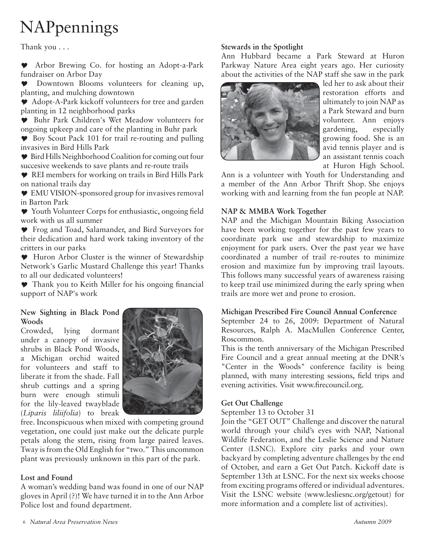# NAPpennings

Thank you . . .

 Arbor Brewing Co. for hosting an Adopt-a-Park fundraiser on Arbor Day

 Downtown Blooms volunteers for cleaning up, planting, and mulching downtown

Adopt-A-Park kickoff volunteers for tree and garden planting in 12 neighborhood parks

 Buhr Park Children's Wet Meadow volunteers for ongoing upkeep and care of the planting in Buhr park

Boy Scout Pack 101 for trail re-routing and pulling invasives in Bird Hills Park

 $\bullet$  Bird Hills Neighborhood Coalition for coming out four succesive weekends to save plants and re-route trails

REI members for working on trails in Bird Hills Park on national trails day

EMU VISION-sponsored group for invasives removal in Barton Park

 $\blacktriangleright$  Youth Volunteer Corps for enthusiastic, ongoing field work with us all summer

Frog and Toad, Salamander, and Bird Surveyors for their dedication and hard work taking inventory of the critters in our parks

 Huron Arbor Cluster is the winner of Stewardship Network's Garlic Mustard Challenge this year! Thanks to all our dedicated volunteers!

 $\blacktriangleright$  Thank you to Keith Miller for his ongoing financial support of NAP's work

### **New Sighting in Black Pond Woods**

Crowded, lying dormant under a canopy of invasive shrubs in Black Pond Woods, a Michigan orchid waited for volunteers and staff to liberate it from the shade. Fall shrub cuttings and a spring burn were enough stimuli for the lily-leaved twayblade (*Liparis liliifolia*) to break



free. Inconspicuous when mixed with competing ground vegetation, one could just make out the delicate purple petals along the stem, rising from large paired leaves. Tway is from the Old English for "two." This uncommon plant was previously unknown in this part of the park.

### **Lost and Found**

A woman's wedding band was found in one of our NAP gloves in April (?)! We have turned it in to the Ann Arbor Police lost and found department.

### **Stewards in the Spotlight**

Ann Hubbard became a Park Steward at Huron Parkway Nature Area eight years ago. Her curiosity about the activities of the NAP staff she saw in the park



led her to ask about their restoration efforts and ultimately to join NAP as a Park Steward and burn volunteer. Ann enjoys gardening, especially growing food. She is an avid tennis player and is an assistant tennis coach at Huron High School.

Ann is a volunteer with Youth for Understanding and a member of the Ann Arbor Thrift Shop. She enjoys working with and learning from the fun people at NAP.

### **NAP & MMBA Work Together**

NAP and the Michigan Mountain Biking Association have been working together for the past few years to coordinate park use and stewardship to maximize enjoyment for park users. Over the past year we have coordinated a number of trail re-routes to minimize erosion and maximize fun by improving trail layouts. This follows many successful years of awareness raising to keep trail use minimized during the early spring when trails are more wet and prone to erosion.

### **Michigan Prescribed Fire Council Annual Conference**

September 24 to 26, 2009: Department of Natural Resources, Ralph A. MacMullen Conference Center, Roscommon.

This is the tenth anniversary of the Michigan Prescribed Fire Council and a great annual meeting at the DNR's "Center in the Woods" conference facility is being planned, with many interesting sessions, field trips and evening activities. Visit www.firecouncil.org.

### **Get Out Challenge**

September 13 to October 31

Join the "GET OUT" Challenge and discover the natural world through your child's eyes with NAP, National Wildlife Federation, and the Leslie Science and Nature Center (LSNC). Explore city parks and your own backyard by completing adventure challenges by the end of October, and earn a Get Out Patch. Kickoff date is September 13th at LSNC. For the next six weeks choose from exciting programs offered or individual adventures. Visit the LSNC website (www.lesliesnc.org/getout) for more information and a complete list of activities).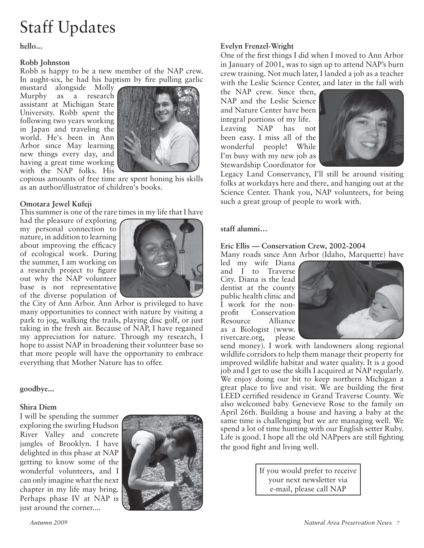# Staff Updates

**hello...**

### **Robb Johnston**

Robb is happy to be a new member of the NAP crew. In aught-six, he had his baptism by fire pulling garlic

mustard alongside Molly Murphy as a research assistant at Michigan State University. Robb spent the following two years working in Japan and traveling the world. He's been in Ann Arbor since May learning new things every day, and having a great time working with the NAP folks. His



copious amounts of free time are spent honing his skills as an author/illustrator of children's books.

### **Omotara Jewel Kufeji**

This summer is one of the rare times in my life that I have

had the pleasure of exploring my personal connection to nature, in addition to learning about improving the efficacy of ecological work. During the summer, I am working on a research project to figure out why the NAP volunteer base is not representative of the diverse population of



the City of Ann Arbor. Ann Arbor is privileged to have many opportunities to connect with nature by visiting a park to jog, walking the trails, playing disc golf, or just taking in the fresh air. Because of NAP, I have regained my appreciation for nature. Through my research, I hope to assist NAP in broadening their volunteer base so that more people will have the opportunity to embrace everything that Mother Nature has to offer.

### **goodbye...**

### **Shira Diem**

I will be spending the summer exploring the swirling Hudson River Valley and concrete jungles of Brooklyn. I have delighted in this phase at NAP getting to know some of the wonderful volunteers, and I can only imagine what the next chapter in my life may bring. Perhaps phase IV at NAP is just around the corner....



### **Evelyn Frenzel-Wright**

One of the first things I did when I moved to Ann Arbor in January of 2001, was to sign up to attend NAP's burn crew training. Not much later, I landed a job as a teacher with the Leslie Science Center, and later in the fall with

the NAP crew. Since then, NAP and the Leslie Science and Nature Center have been integral portions of my life. Leaving NAP has not been easy. I miss all of the wonderful people! While I'm busy with my new job as Stewardship Coordinator for



Legacy Land Conservancy, I'll still be around visiting folks at workdays here and there, and hanging out at the Science Center. Thank you, NAP volunteers, for being such a great group of people to work with.

### **staff alumni…**

### **Eric Ellis — Conservation Crew, 2002-2004**

Many roads since Ann Arbor (Idaho, Marquette) have

led my wife Diana and I to Traverse City. Diana is the lead dentist at the county public health clinic and I work for the nonprofit Conservation Resource Alliance as a Biologist (www.<br>rivercare.org, please rivercare.org,



send money). I work with landowners along regional wildlife corridors to help them manage their property for improved wildlife habitat and water quality. It is a good job and I get to use the skills I acquired at NAP regularly. We enjoy doing our bit to keep northern Michigan a great place to live and visit. We are building the first LEED certified residence in Grand Traverse County. We also welcomed baby Genevieve Rose to the family on April 26th. Building a house and having a baby at the same time is challenging but we are managing well. We spend a lot of time hunting with our English setter Ruby. Life is good. I hope all the old NAPpers are still fighting the good fight and living well.

> If you would prefer to receive your next newsletter via e-mail, please call NAP